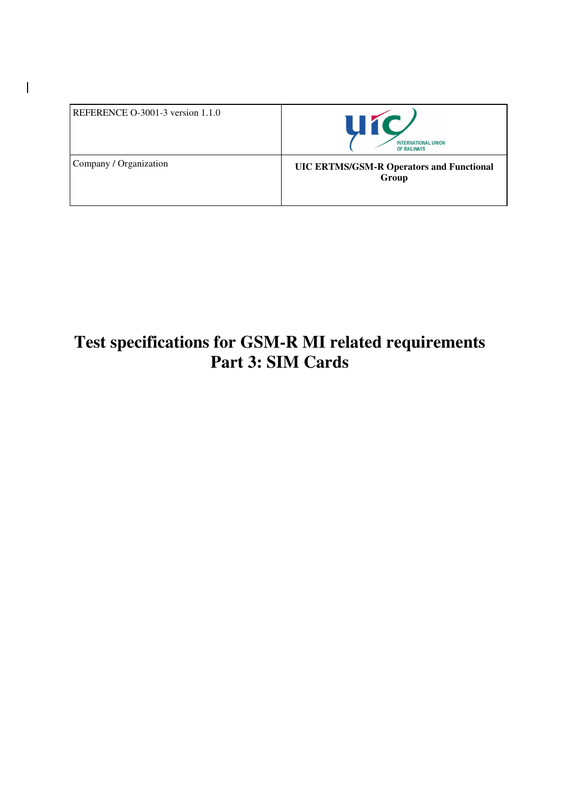| REFERENCE $O-3001-3$ version 1.1.0 | <b>HIC</b><br><b>INTERNATIONAL UNION</b><br>OF RAILWAYS  |
|------------------------------------|----------------------------------------------------------|
| Company / Organization             | <b>UIC ERTMS/GSM-R Operators and Functional</b><br>Group |

 $\overline{1}$ 

# **Test specifications for GSM-R MI related requirements Part 3: SIM Cards**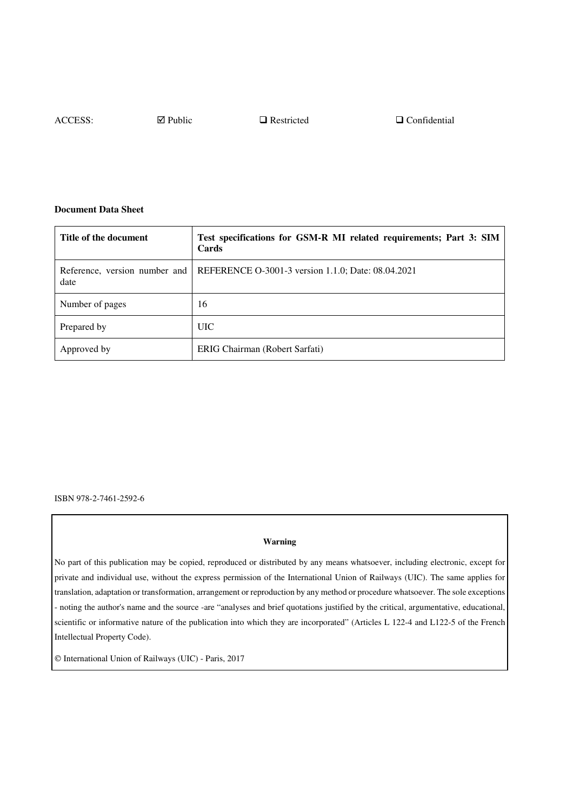ACCESS: ⊠ Public DRestricted DConfidential

#### **Document Data Sheet**

| Title of the document | Test specifications for GSM-R MI related requirements; Part 3: SIM<br>Cards      |
|-----------------------|----------------------------------------------------------------------------------|
| date                  | Reference, version number and REFERENCE O-3001-3 version 1.1.0; Date: 08.04.2021 |
| Number of pages       | 16                                                                               |
| Prepared by           | UIC –                                                                            |
| Approved by           | ERIG Chairman (Robert Sarfati)                                                   |

ISBN 978-2-7461-2592-6

#### **Warning**

No part of this publication may be copied, reproduced or distributed by any means whatsoever, including electronic, except for private and individual use, without the express permission of the International Union of Railways (UIC). The same applies for translation, adaptation or transformation, arrangement or reproduction by any method or procedure whatsoever. The sole exceptions - noting the author's name and the source -are "analyses and brief quotations justified by the critical, argumentative, educational, scientific or informative nature of the publication into which they are incorporated" (Articles L 122-4 and L122-5 of the French Intellectual Property Code).

International Union of Railways (UIC) - Paris, 2017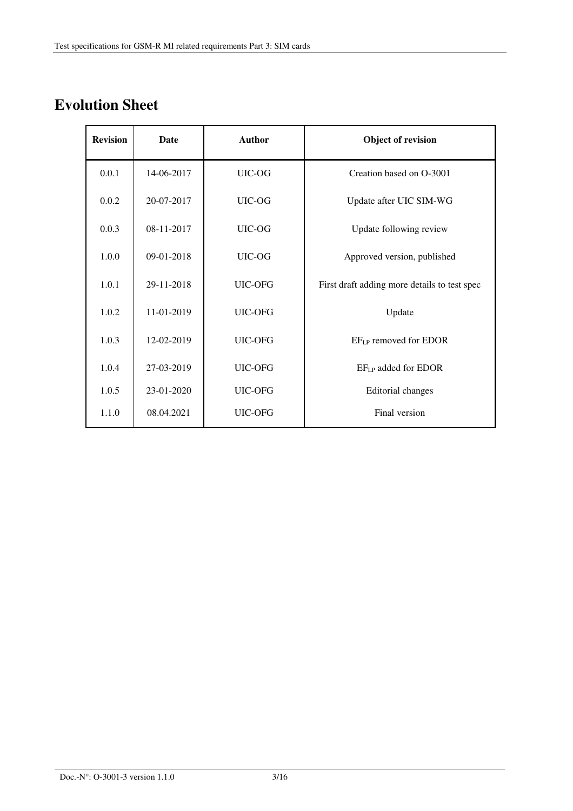# **Evolution Sheet**

| <b>Revision</b> | Date       | <b>Author</b> | Object of revision                           |
|-----------------|------------|---------------|----------------------------------------------|
| 0.0.1           | 14-06-2017 | UIC-OG        | Creation based on O-3001                     |
| 0.0.2           | 20-07-2017 | UIC-OG        | Update after UIC SIM-WG                      |
| 0.0.3           | 08-11-2017 | UIC-OG        | Update following review                      |
| 1.0.0           | 09-01-2018 | UIC-OG        | Approved version, published                  |
| 1.0.1           | 29-11-2018 | UIC-OFG       | First draft adding more details to test spec |
| 1.0.2           | 11-01-2019 | UIC-OFG       | Update                                       |
| 1.0.3           | 12-02-2019 | UIC-OFG       | EF <sub>LP</sub> removed for EDOR            |
| 1.0.4           | 27-03-2019 | UIC-OFG       | EF <sub>LP</sub> added for EDOR              |
| 1.0.5           | 23-01-2020 | UIC-OFG       | Editorial changes                            |
| 1.1.0           | 08.04.2021 | UIC-OFG       | Final version                                |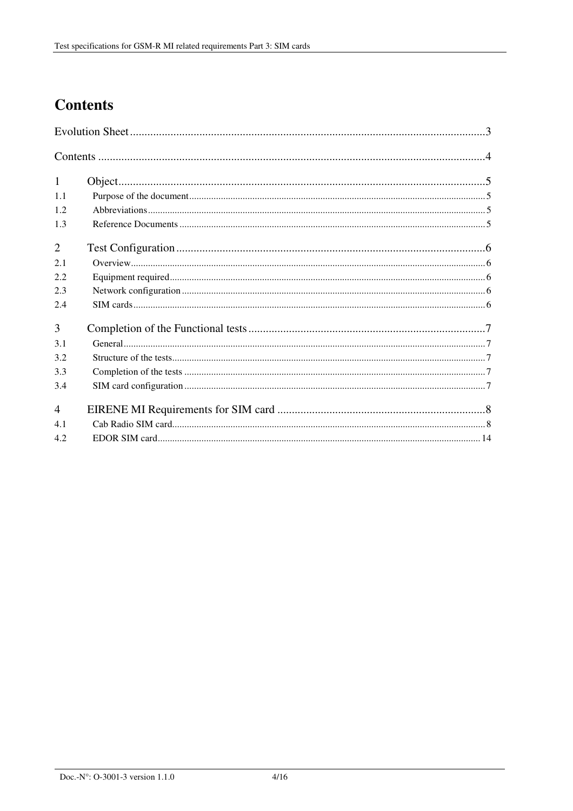# **Contents**

| $\mathbf{1}$   |  |  |
|----------------|--|--|
| 1.1            |  |  |
| 1.2            |  |  |
| 1.3            |  |  |
| $\overline{2}$ |  |  |
| 2.1            |  |  |
| 2.2            |  |  |
| 2.3            |  |  |
| 2.4            |  |  |
| 3              |  |  |
| 3.1            |  |  |
| 3.2            |  |  |
| 3.3            |  |  |
| 3.4            |  |  |
| $\overline{4}$ |  |  |
| 4.1            |  |  |
| 4.2            |  |  |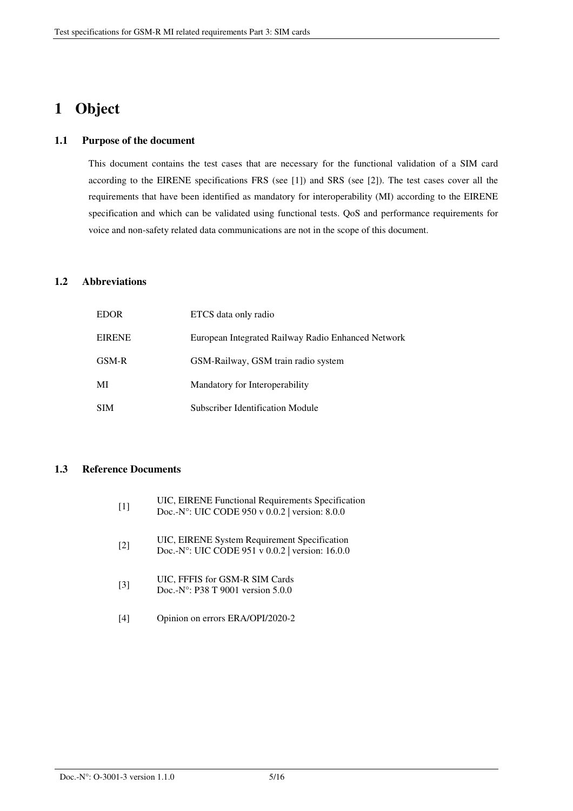## **1 Object**

#### **1.1 Purpose of the document**

This document contains the test cases that are necessary for the functional validation of a SIM card according to the EIRENE specifications FRS (see [1]) and SRS (see [2]). The test cases cover all the requirements that have been identified as mandatory for interoperability (MI) according to the EIRENE specification and which can be validated using functional tests. QoS and performance requirements for voice and non-safety related data communications are not in the scope of this document.

#### **1.2 Abbreviations**

| <b>EDOR</b>   | ETCS data only radio                               |
|---------------|----------------------------------------------------|
| <b>EIRENE</b> | European Integrated Railway Radio Enhanced Network |
| GSM-R         | GSM-Railway, GSM train radio system                |
| MI            | Mandatory for Interoperability                     |
| <b>SIM</b>    | Subscriber Identification Module                   |

#### **1.3 Reference Documents**

| $[1]$             | UIC, EIRENE Functional Requirements Specification<br>Doc.-N°: UIC CODE 950 v 0.0.2 version: 8.0.0 |
|-------------------|---------------------------------------------------------------------------------------------------|
| $\lceil 2 \rceil$ | UIC, EIRENE System Requirement Specification<br>Doc.-N°: UIC CODE 951 v 0.0.2 version: 16.0.0     |
| $\lceil 3 \rceil$ | UIC, FFFIS for GSM-R SIM Cards<br>Doc.-N°: P38 T 9001 version $5.0.0$                             |
| $\vert 4 \vert$   | Opinion on errors ERA/OPI/2020-2                                                                  |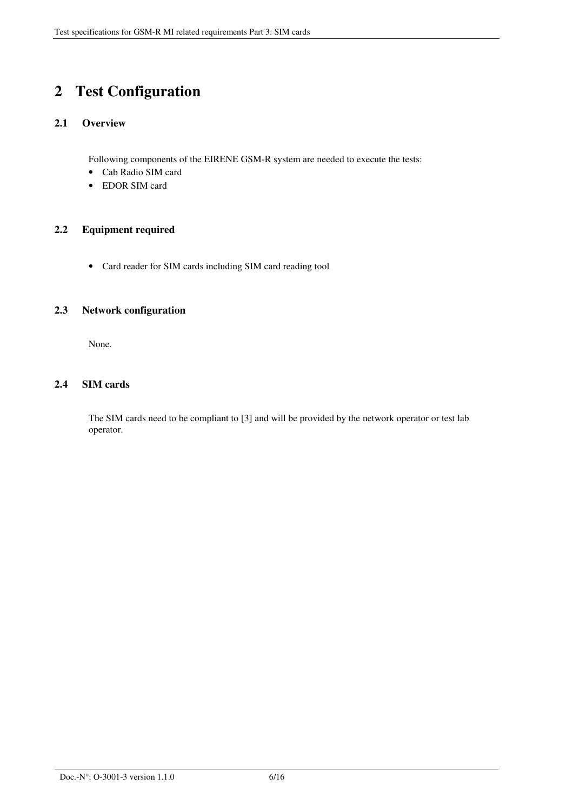## **2 Test Configuration**

#### **2.1 Overview**

Following components of the EIRENE GSM-R system are needed to execute the tests:

- Cab Radio SIM card
- EDOR SIM card

#### **2.2 Equipment required**

• Card reader for SIM cards including SIM card reading tool

#### **2.3 Network configuration**

None.

#### **2.4 SIM cards**

The SIM cards need to be compliant to [3] and will be provided by the network operator or test lab operator.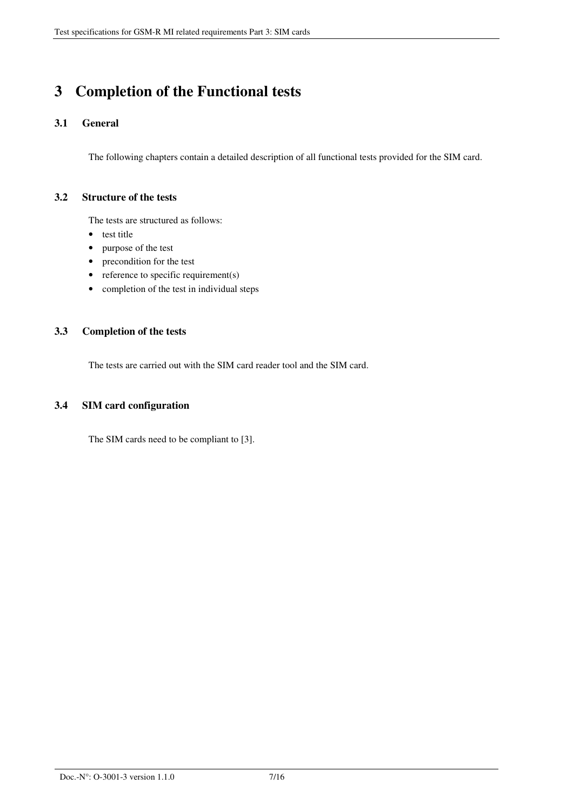## **3 Completion of the Functional tests**

#### **3.1 General**

The following chapters contain a detailed description of all functional tests provided for the SIM card.

#### **3.2 Structure of the tests**

The tests are structured as follows:

- test title
- purpose of the test
- precondition for the test
- reference to specific requirement(s)
- completion of the test in individual steps

#### **3.3 Completion of the tests**

The tests are carried out with the SIM card reader tool and the SIM card.

#### **3.4 SIM card configuration**

The SIM cards need to be compliant to [3].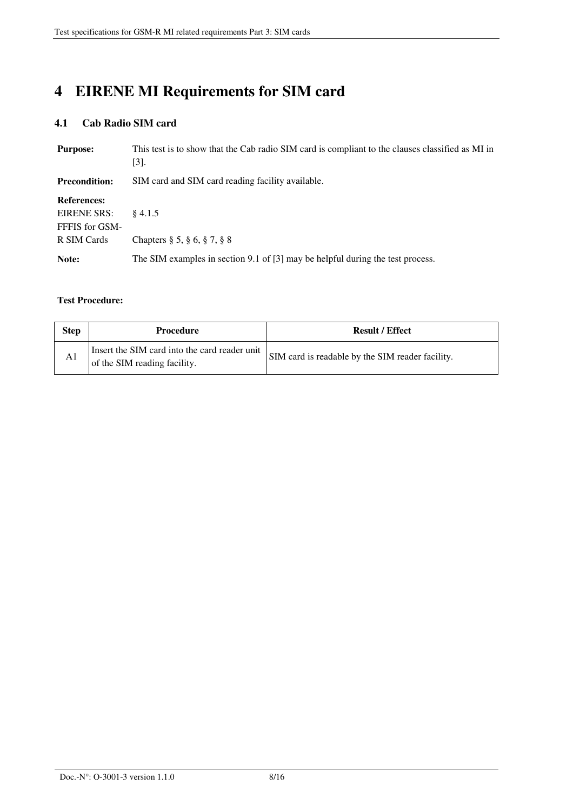# **4 EIRENE MI Requirements for SIM card**

### **4.1 Cab Radio SIM card**

| <b>Purpose:</b>      | This test is to show that the Cab radio SIM card is compliant to the clauses classified as MI in<br>$[3]$ . |
|----------------------|-------------------------------------------------------------------------------------------------------------|
| <b>Precondition:</b> | SIM card and SIM card reading facility available.                                                           |
| <b>References:</b>   |                                                                                                             |
| EIRENE SRS:          | \$4.1.5                                                                                                     |
| FFFIS for GSM-       |                                                                                                             |
| R SIM Cards          | Chapters $\S 5, \S 6, \S 7, \S 8$                                                                           |
| Note:                | The SIM examples in section 9.1 of [3] may be helpful during the test process.                              |

#### **Test Procedure:**

| Insert the SIM card into the card reader unit<br>SIM card is readable by the SIM reader facility.<br>A1<br>of the SIM reading facility. | <b>Step</b> | <b>Procedure</b> | <b>Result / Effect</b> |
|-----------------------------------------------------------------------------------------------------------------------------------------|-------------|------------------|------------------------|
|                                                                                                                                         |             |                  |                        |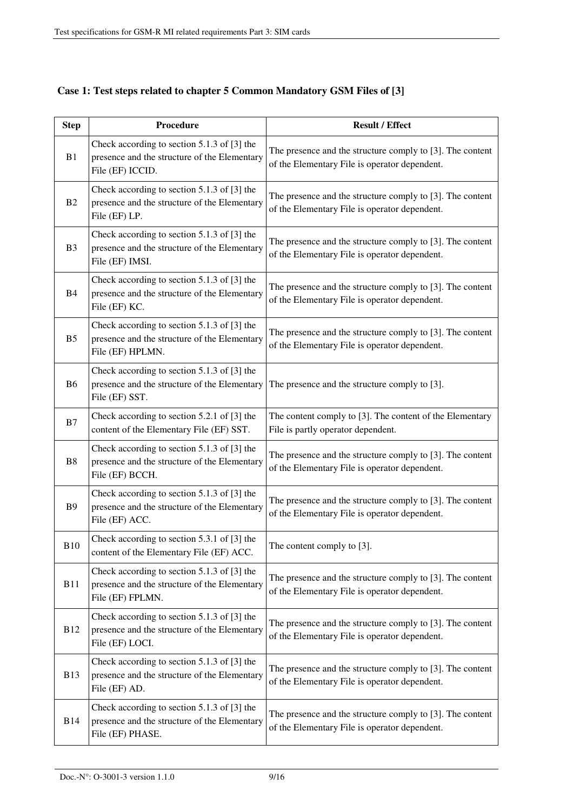| <b>Step</b>    | <b>Procedure</b>                                                                                                | <b>Result / Effect</b>                                                                                     |
|----------------|-----------------------------------------------------------------------------------------------------------------|------------------------------------------------------------------------------------------------------------|
| B1             | Check according to section 5.1.3 of [3] the<br>presence and the structure of the Elementary<br>File (EF) ICCID. | The presence and the structure comply to [3]. The content<br>of the Elementary File is operator dependent. |
| B2             | Check according to section 5.1.3 of [3] the<br>presence and the structure of the Elementary<br>File (EF) LP.    | The presence and the structure comply to [3]. The content<br>of the Elementary File is operator dependent. |
| B <sub>3</sub> | Check according to section 5.1.3 of [3] the<br>presence and the structure of the Elementary<br>File (EF) IMSI.  | The presence and the structure comply to [3]. The content<br>of the Elementary File is operator dependent. |
| B <sub>4</sub> | Check according to section 5.1.3 of [3] the<br>presence and the structure of the Elementary<br>File (EF) KC.    | The presence and the structure comply to [3]. The content<br>of the Elementary File is operator dependent. |
| B <sub>5</sub> | Check according to section 5.1.3 of [3] the<br>presence and the structure of the Elementary<br>File (EF) HPLMN. | The presence and the structure comply to [3]. The content<br>of the Elementary File is operator dependent. |
| <b>B6</b>      | Check according to section 5.1.3 of [3] the<br>presence and the structure of the Elementary<br>File (EF) SST.   | The presence and the structure comply to [3].                                                              |
| B7             | Check according to section 5.2.1 of [3] the<br>content of the Elementary File (EF) SST.                         | The content comply to [3]. The content of the Elementary<br>File is partly operator dependent.             |
| B8             | Check according to section 5.1.3 of [3] the<br>presence and the structure of the Elementary<br>File (EF) BCCH.  | The presence and the structure comply to [3]. The content<br>of the Elementary File is operator dependent. |
| <b>B9</b>      | Check according to section 5.1.3 of [3] the<br>presence and the structure of the Elementary<br>File (EF) ACC.   | The presence and the structure comply to [3]. The content<br>of the Elementary File is operator dependent. |
| <b>B10</b>     | Check according to section 5.3.1 of [3] the<br>content of the Elementary File (EF) ACC.                         | The content comply to [3].                                                                                 |
| <b>B11</b>     | Check according to section 5.1.3 of [3] the<br>presence and the structure of the Elementary<br>File (EF) FPLMN. | The presence and the structure comply to [3]. The content<br>of the Elementary File is operator dependent. |
| <b>B12</b>     | Check according to section 5.1.3 of [3] the<br>presence and the structure of the Elementary<br>File (EF) LOCI.  | The presence and the structure comply to [3]. The content<br>of the Elementary File is operator dependent. |
| <b>B13</b>     | Check according to section 5.1.3 of [3] the<br>presence and the structure of the Elementary<br>File (EF) AD.    | The presence and the structure comply to [3]. The content<br>of the Elementary File is operator dependent. |
| <b>B14</b>     | Check according to section 5.1.3 of [3] the<br>presence and the structure of the Elementary<br>File (EF) PHASE. | The presence and the structure comply to [3]. The content<br>of the Elementary File is operator dependent. |

### **Case 1: Test steps related to chapter 5 Common Mandatory GSM Files of [3]**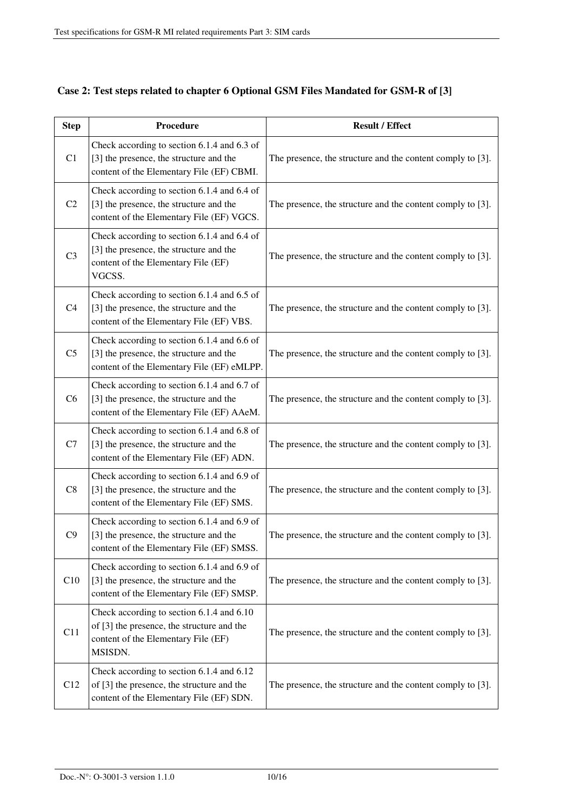| <b>Step</b>    | Procedure                                                                                                                                 | <b>Result / Effect</b>                                     |
|----------------|-------------------------------------------------------------------------------------------------------------------------------------------|------------------------------------------------------------|
| C1             | Check according to section 6.1.4 and 6.3 of<br>[3] the presence, the structure and the<br>content of the Elementary File (EF) CBMI.       | The presence, the structure and the content comply to [3]. |
| C <sub>2</sub> | Check according to section 6.1.4 and 6.4 of<br>[3] the presence, the structure and the<br>content of the Elementary File (EF) VGCS.       | The presence, the structure and the content comply to [3]. |
| C <sub>3</sub> | Check according to section 6.1.4 and 6.4 of<br>[3] the presence, the structure and the<br>content of the Elementary File (EF)<br>VGCSS.   | The presence, the structure and the content comply to [3]. |
| C <sub>4</sub> | Check according to section 6.1.4 and 6.5 of<br>[3] the presence, the structure and the<br>content of the Elementary File (EF) VBS.        | The presence, the structure and the content comply to [3]. |
| C <sub>5</sub> | Check according to section 6.1.4 and 6.6 of<br>[3] the presence, the structure and the<br>content of the Elementary File (EF) eMLPP.      | The presence, the structure and the content comply to [3]. |
| C6             | Check according to section 6.1.4 and 6.7 of<br>[3] the presence, the structure and the<br>content of the Elementary File (EF) AAeM.       | The presence, the structure and the content comply to [3]. |
| C7             | Check according to section 6.1.4 and 6.8 of<br>[3] the presence, the structure and the<br>content of the Elementary File (EF) ADN.        | The presence, the structure and the content comply to [3]. |
| C8             | Check according to section 6.1.4 and 6.9 of<br>[3] the presence, the structure and the<br>content of the Elementary File (EF) SMS.        | The presence, the structure and the content comply to [3]. |
| C9             | Check according to section 6.1.4 and 6.9 of<br>[3] the presence, the structure and the<br>content of the Elementary File (EF) SMSS.       | The presence, the structure and the content comply to [3]. |
| C10            | Check according to section 6.1.4 and 6.9 of<br>[3] the presence, the structure and the<br>content of the Elementary File (EF) SMSP.       | The presence, the structure and the content comply to [3]. |
| C11            | Check according to section 6.1.4 and 6.10<br>of [3] the presence, the structure and the<br>content of the Elementary File (EF)<br>MSISDN. | The presence, the structure and the content comply to [3]. |
| C12            | Check according to section 6.1.4 and 6.12<br>of [3] the presence, the structure and the<br>content of the Elementary File (EF) SDN.       | The presence, the structure and the content comply to [3]. |

## **Case 2: Test steps related to chapter 6 Optional GSM Files Mandated for GSM-R of [3]**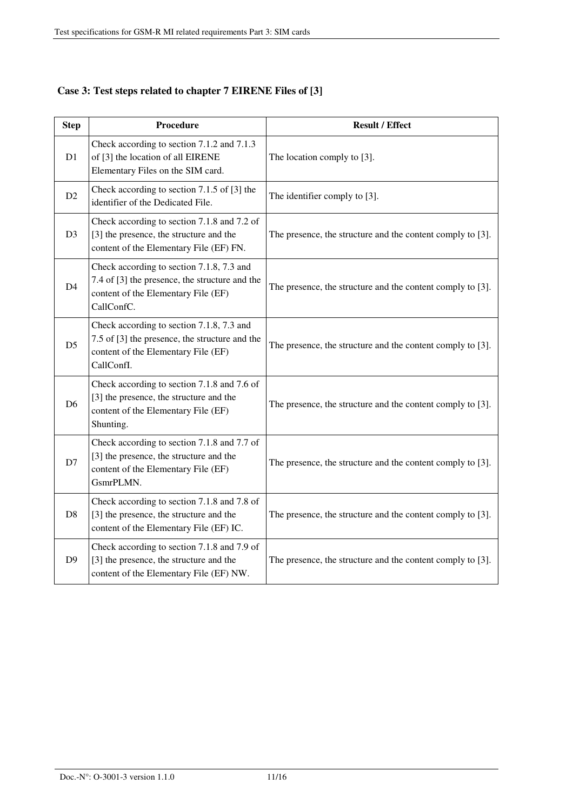| <b>Step</b>    | Procedure                                                                                                                                        | <b>Result / Effect</b>                                     |
|----------------|--------------------------------------------------------------------------------------------------------------------------------------------------|------------------------------------------------------------|
| D1             | Check according to section 7.1.2 and 7.1.3<br>of [3] the location of all EIRENE<br>Elementary Files on the SIM card.                             | The location comply to [3].                                |
| D2             | Check according to section 7.1.5 of [3] the<br>identifier of the Dedicated File.                                                                 | The identifier comply to [3].                              |
| D <sub>3</sub> | Check according to section 7.1.8 and 7.2 of<br>[3] the presence, the structure and the<br>content of the Elementary File (EF) FN.                | The presence, the structure and the content comply to [3]. |
| D <sub>4</sub> | Check according to section 7.1.8, 7.3 and<br>7.4 of [3] the presence, the structure and the<br>content of the Elementary File (EF)<br>CallConfC. | The presence, the structure and the content comply to [3]. |
| D <sub>5</sub> | Check according to section 7.1.8, 7.3 and<br>7.5 of [3] the presence, the structure and the<br>content of the Elementary File (EF)<br>CallConfI. | The presence, the structure and the content comply to [3]. |
| D <sub>6</sub> | Check according to section 7.1.8 and 7.6 of<br>[3] the presence, the structure and the<br>content of the Elementary File (EF)<br>Shunting.       | The presence, the structure and the content comply to [3]. |
| D7             | Check according to section 7.1.8 and 7.7 of<br>[3] the presence, the structure and the<br>content of the Elementary File (EF)<br>GsmrPLMN.       | The presence, the structure and the content comply to [3]. |
| D <sub>8</sub> | Check according to section 7.1.8 and 7.8 of<br>[3] the presence, the structure and the<br>content of the Elementary File (EF) IC.                | The presence, the structure and the content comply to [3]. |
| D <sub>9</sub> | Check according to section 7.1.8 and 7.9 of<br>[3] the presence, the structure and the<br>content of the Elementary File (EF) NW.                | The presence, the structure and the content comply to [3]. |

## **Case 3: Test steps related to chapter 7 EIRENE Files of [3]**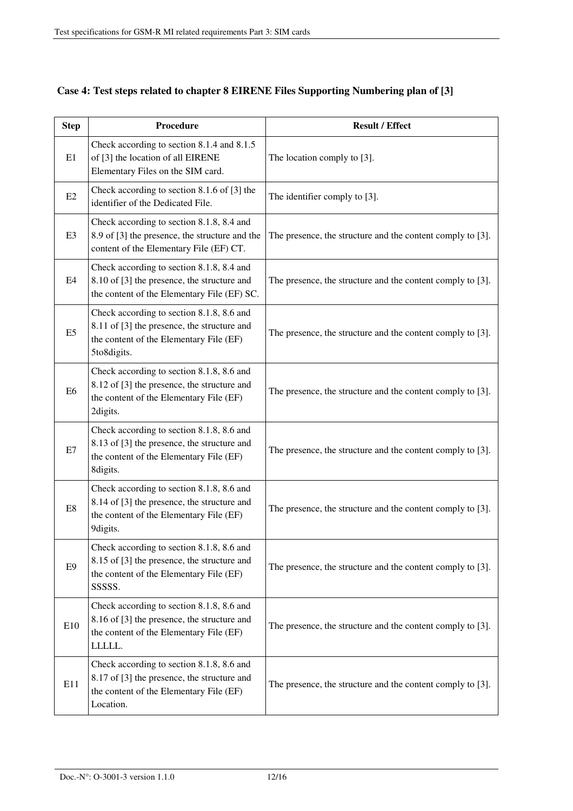| <b>Step</b>    | Procedure                                                                                                                                          | <b>Result / Effect</b>                                     |
|----------------|----------------------------------------------------------------------------------------------------------------------------------------------------|------------------------------------------------------------|
| E1             | Check according to section 8.1.4 and 8.1.5<br>of [3] the location of all EIRENE<br>Elementary Files on the SIM card.                               | The location comply to [3].                                |
| E2             | Check according to section 8.1.6 of [3] the<br>identifier of the Dedicated File.                                                                   | The identifier comply to [3].                              |
| E <sub>3</sub> | Check according to section 8.1.8, 8.4 and<br>8.9 of [3] the presence, the structure and the<br>content of the Elementary File (EF) CT.             | The presence, the structure and the content comply to [3]. |
| E4             | Check according to section 8.1.8, 8.4 and<br>8.10 of [3] the presence, the structure and<br>the content of the Elementary File (EF) SC.            | The presence, the structure and the content comply to [3]. |
| E <sub>5</sub> | Check according to section 8.1.8, 8.6 and<br>8.11 of [3] the presence, the structure and<br>the content of the Elementary File (EF)<br>5to8digits. | The presence, the structure and the content comply to [3]. |
| E6             | Check according to section 8.1.8, 8.6 and<br>8.12 of [3] the presence, the structure and<br>the content of the Elementary File (EF)<br>2digits.    | The presence, the structure and the content comply to [3]. |
| E7             | Check according to section 8.1.8, 8.6 and<br>8.13 of [3] the presence, the structure and<br>the content of the Elementary File (EF)<br>8digits.    | The presence, the structure and the content comply to [3]. |
| E8             | Check according to section 8.1.8, 8.6 and<br>8.14 of [3] the presence, the structure and<br>the content of the Elementary File (EF)<br>9digits.    | The presence, the structure and the content comply to [3]. |
| E <sub>9</sub> | Check according to section 8.1.8, 8.6 and<br>8.15 of [3] the presence, the structure and<br>the content of the Elementary File (EF)<br>SSSSS.      | The presence, the structure and the content comply to [3]. |
| E10            | Check according to section 8.1.8, 8.6 and<br>8.16 of [3] the presence, the structure and<br>the content of the Elementary File (EF)<br>LLLLL.      | The presence, the structure and the content comply to [3]. |
| E11            | Check according to section 8.1.8, 8.6 and<br>8.17 of [3] the presence, the structure and<br>the content of the Elementary File (EF)<br>Location.   | The presence, the structure and the content comply to [3]. |

## **Case 4: Test steps related to chapter 8 EIRENE Files Supporting Numbering plan of [3]**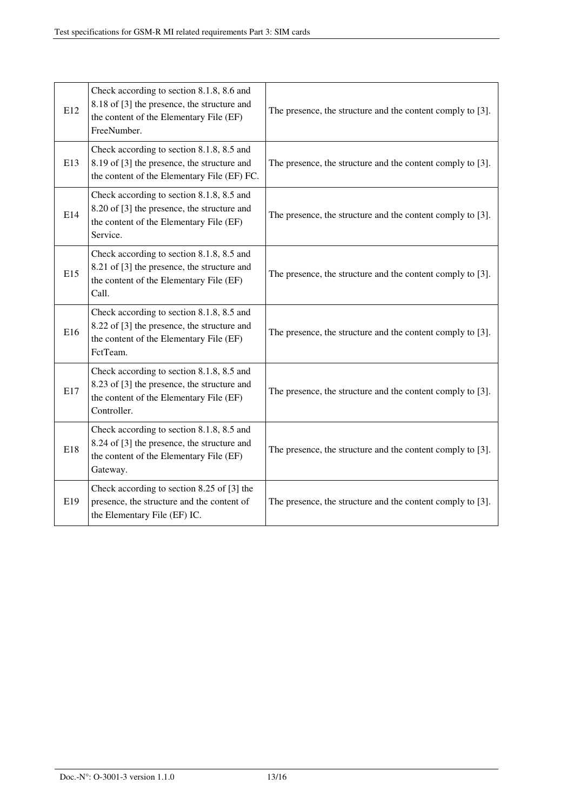| E12 | Check according to section 8.1.8, 8.6 and<br>8.18 of [3] the presence, the structure and<br>the content of the Elementary File (EF)<br>FreeNumber. | The presence, the structure and the content comply to [3]. |
|-----|----------------------------------------------------------------------------------------------------------------------------------------------------|------------------------------------------------------------|
| E13 | Check according to section 8.1.8, 8.5 and<br>8.19 of [3] the presence, the structure and<br>the content of the Elementary File (EF) FC.            | The presence, the structure and the content comply to [3]. |
| E14 | Check according to section 8.1.8, 8.5 and<br>8.20 of [3] the presence, the structure and<br>the content of the Elementary File (EF)<br>Service.    | The presence, the structure and the content comply to [3]. |
| E15 | Check according to section 8.1.8, 8.5 and<br>8.21 of [3] the presence, the structure and<br>the content of the Elementary File (EF)<br>Call.       | The presence, the structure and the content comply to [3]. |
| E16 | Check according to section 8.1.8, 8.5 and<br>8.22 of [3] the presence, the structure and<br>the content of the Elementary File (EF)<br>FctTeam.    | The presence, the structure and the content comply to [3]. |
| E17 | Check according to section 8.1.8, 8.5 and<br>8.23 of [3] the presence, the structure and<br>the content of the Elementary File (EF)<br>Controller. | The presence, the structure and the content comply to [3]. |
| E18 | Check according to section 8.1.8, 8.5 and<br>8.24 of [3] the presence, the structure and<br>the content of the Elementary File (EF)<br>Gateway.    | The presence, the structure and the content comply to [3]. |
| E19 | Check according to section 8.25 of [3] the<br>presence, the structure and the content of<br>the Elementary File (EF) IC.                           | The presence, the structure and the content comply to [3]. |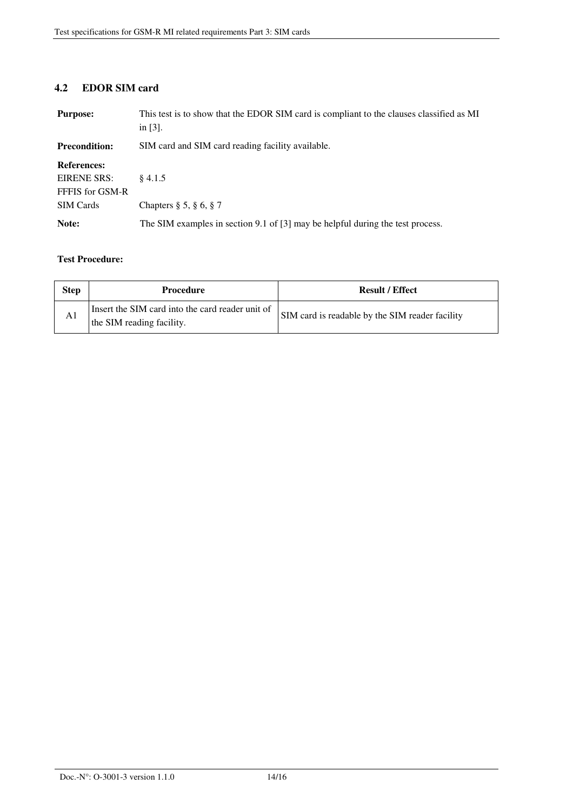#### **4.2 EDOR SIM card**

| <b>Purpose:</b>      | This test is to show that the EDOR SIM card is compliant to the clauses classified as MI<br>in $[3]$ . |
|----------------------|--------------------------------------------------------------------------------------------------------|
| <b>Precondition:</b> | SIM card and SIM card reading facility available.                                                      |
| <b>References:</b>   |                                                                                                        |
| EIRENE SRS:          | \$4.1.5                                                                                                |
| FFFIS for GSM-R      |                                                                                                        |
| <b>SIM Cards</b>     | Chapters $\S 5, \S 6, \S 7$                                                                            |
| Note:                | The SIM examples in section 9.1 of $[3]$ may be helpful during the test process.                       |

#### **Test Procedure:**

٦

| <b>Step</b> | <b>Procedure</b>                                                              | <b>Result / Effect</b>                          |
|-------------|-------------------------------------------------------------------------------|-------------------------------------------------|
| A1          | Insert the SIM card into the card reader unit of<br>the SIM reading facility. | SIM card is readable by the SIM reader facility |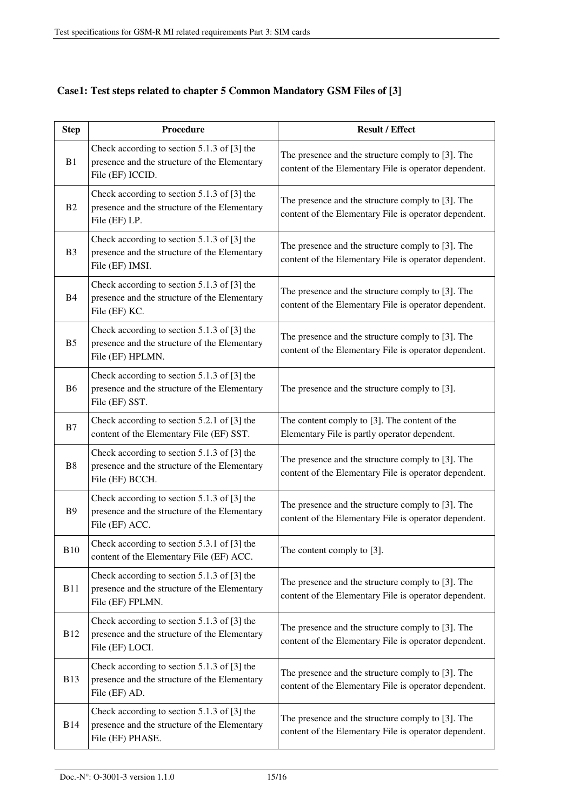| <b>Step</b>    | <b>Procedure</b>                                                                                                  | <b>Result / Effect</b>                                                                                     |
|----------------|-------------------------------------------------------------------------------------------------------------------|------------------------------------------------------------------------------------------------------------|
| B1             | Check according to section 5.1.3 of [3] the<br>presence and the structure of the Elementary<br>File (EF) ICCID.   | The presence and the structure comply to [3]. The<br>content of the Elementary File is operator dependent. |
| B2             | Check according to section 5.1.3 of [3] the<br>presence and the structure of the Elementary<br>File (EF) LP.      | The presence and the structure comply to [3]. The<br>content of the Elementary File is operator dependent. |
| B <sub>3</sub> | Check according to section 5.1.3 of [3] the<br>presence and the structure of the Elementary<br>File (EF) IMSI.    | The presence and the structure comply to [3]. The<br>content of the Elementary File is operator dependent. |
| <b>B</b> 4     | Check according to section 5.1.3 of [3] the<br>presence and the structure of the Elementary<br>File (EF) KC.      | The presence and the structure comply to [3]. The<br>content of the Elementary File is operator dependent. |
| B <sub>5</sub> | Check according to section 5.1.3 of [3] the<br>presence and the structure of the Elementary<br>File (EF) HPLMN.   | The presence and the structure comply to [3]. The<br>content of the Elementary File is operator dependent. |
| B <sub>6</sub> | Check according to section 5.1.3 of [3] the<br>presence and the structure of the Elementary<br>File (EF) SST.     | The presence and the structure comply to [3].                                                              |
| B7             | Check according to section 5.2.1 of [3] the<br>content of the Elementary File (EF) SST.                           | The content comply to [3]. The content of the<br>Elementary File is partly operator dependent.             |
| <b>B8</b>      | Check according to section 5.1.3 of [3] the<br>presence and the structure of the Elementary<br>File (EF) BCCH.    | The presence and the structure comply to [3]. The<br>content of the Elementary File is operator dependent. |
| <b>B</b> 9     | Check according to section 5.1.3 of [3] the<br>presence and the structure of the Elementary<br>File (EF) ACC.     | The presence and the structure comply to [3]. The<br>content of the Elementary File is operator dependent. |
| <b>B10</b>     | Check according to section 5.3.1 of [3] the<br>content of the Elementary File (EF) ACC.                           | The content comply to [3].                                                                                 |
| <b>B11</b>     | Check according to section $5.1.3$ of [3] the<br>presence and the structure of the Elementary<br>File (EF) FPLMN. | The presence and the structure comply to [3]. The<br>content of the Elementary File is operator dependent. |
| <b>B12</b>     | Check according to section 5.1.3 of [3] the<br>presence and the structure of the Elementary<br>File (EF) LOCI.    | The presence and the structure comply to [3]. The<br>content of the Elementary File is operator dependent. |
| <b>B13</b>     | Check according to section 5.1.3 of [3] the<br>presence and the structure of the Elementary<br>File (EF) AD.      | The presence and the structure comply to [3]. The<br>content of the Elementary File is operator dependent. |
| <b>B14</b>     | Check according to section 5.1.3 of [3] the<br>presence and the structure of the Elementary<br>File (EF) PHASE.   | The presence and the structure comply to [3]. The<br>content of the Elementary File is operator dependent. |

## **Case1: Test steps related to chapter 5 Common Mandatory GSM Files of [3]**

ī